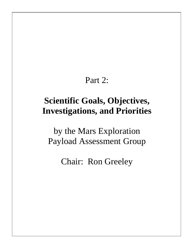# Part 2:

# **Scientific Goals, Objectives, Investigations, and Priorities**

by the Mars Exploration Payload Assessment Group

Chair: Ron Greeley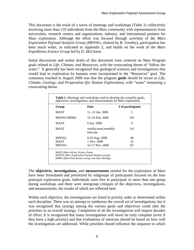This document is the result of a series of meetings and workshops (Table 1) collectively involving more than 110 individuals from the Mars community with representatives from universities, research centers and organizations, industry, and international partners for Mars exploration. Although the effort was focused through activities of the *Mars Exploration Payload Analysis Group (MEPAG,* chaired by R. Greeley), participation has been much wider, as indicated in Appendix 2, and builds on the work of the *Mars Expeditions Science Group* led by D. McCleese.

Initial discussions and earlier drafts of this document were centered on Mars Program goals related to *Life, Climate, and Resources,* with the crosscutting theme of "follow the water." It generally has been recognized that geological sciences and investigations that would lead to exploration by humans were incorporated in the "Resources" goal. The consensus reached in August 2000 was that the program **goals** should be recast as *Life, Climate, Geology, and Preparation (for Human Exploration), with "water" remaining a* crosscutting theme.

|              |                                 | # of participants |
|--------------|---------------------------------|-------------------|
| <b>MAST</b>  | $11-12$ Jan. 2000               | 5                 |
| MEPAG/MPRG   | $22 - 24$ Feb. $2000$           | 101               |
| MAST         | 6 Jun. 2000                     | 8                 |
| <b>MAST</b>  | weekly/semi-monthly<br>telecons | $3-6$             |
| <b>MEPAG</b> | 8-10 Aug. 2000                  | 49                |
| <b>MAST</b>  | $1$ Nov. $2000$                 | 12                |
| <b>MEPAG</b> | 15-17 Nov. 2000                 | 65                |

The **objectives**, **investigations,** and **measurements** needed for the exploration of Mars have been formulated and prioritized by subgroups of participants focused on the four principal exploration goals. Individuals were free to participate in more than one group during workshops and there were intergroup critiques of the objectives, investigations, and measurements, the results of which are reflected here.

Within each objective, the investigations are listed in priority order as determined within each discipline. There was no attempt to synthesize the overall set of investigations, but it was recognized that synergy among the various goals and objectives could alter the priorities in an overall strategy. Completion of all the investigations will require decades of effort. It is recognized that many investigations will never be truly complete (even if they have a high priority) and that evaluations of missions should be based on how well the investigations are addressed. While priorities should influence the sequence in which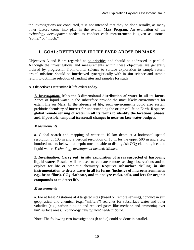the investigations are conducted, it is not intended that they be done serially, as many other factors come into play in the overall Mars Program. An evaluation of the *technology development* needed to conduct each measurement is given as "none," "some," or "much."

# **I. GOAL: DETERMINE IF LIFE EVER AROSE ON MARS**

Objectives A and B are regarded as co-priorities and should be addressed in parallel. Although the investigations and measurements within these objectives are generally ordered by progression from orbital science to surface exploration to sample return, orbital missions should be interleaved synergistically with in situ science and sample return to optimize selection of landing sites and samples for study.

## **A. Objective: Determine if life exists today.**

*1. Investigation:* **Map the 3-dimensional distribution of water in all its forms.** Zones of liquid water in the subsurface provide the most likely environments for extant life on Mars. In the absence of life, such environments could also sustain prebiotic chemistry of interest for understanding the origin of life on Earth. **Requires global remote sensing of water in all its forms to identify the locations, phases, and, if possible, temporal (seasonal) changes in near-surface water budgets.**

## *Measurements*

a. Global search and mapping of water to 10 km depth at a horizontal spatial resolution of 100 m and a vertical resolution of 10 m for the upper 500 m and a few hundred meters below that depth; must be able to distinguish CO<sub>2</sub> clathrate, ice, and liquid water. *Technology development needed: Modest.*

*2. Investigation:* **Carry out in situ exploration of areas suspected of harboring liquid water.** Results will be used to validate remote sensing observations and to explore for life or prebiotic chemistry. **Requires subsurface drilling, in situ instrumentation to detect water in all its forms (inclusive of microenvironments; e.g., brine films), CO2 clathrate, and to analyze rocks, soils, and ices for organic compounds or to detect life.**

## *Measurements*

a. For at least 20 stations at 4 targeted sites (based on remote sensing), conduct in situ geophysical and chemical (e.g., "sniffers") searches for subsurface water and other volatiles (e.g., carbon dioxide and reduced gases like methane and ammonia) over km<sup>2</sup> surface areas. *Technology development needed: Some.*

Note: The following two investigations (b and c) could be done in parallel.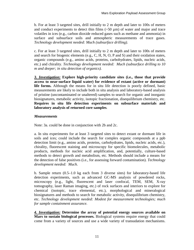b. For at least 3 targeted sites, drill initially to 2 m depth and later to 100s of meters and conduct experiments to detect thin films  $(\sim 50 \,\mu m)$  of water and major and trace volatiles in ices (e.g., carbon dioxide reduced gases such as methane and ammonia) in surface and subsurface soils and atmospheric measurements of trace gases. *Technology development needed: Much (subsurface drilling).*

c. For at least 3 targeted sites, drill initially to 2 m depth and later to 100s of meters and search for biogenic elements (e.g., C, H, N, O, P and S) and their oxidation states, organic compounds (e.g., amino acids, proteins, carbohydrates, lipids, nucleic acids, etc.) and chirality. *Technology development needed: Much (subsurface drilling to 10 m and deeper; in situ detection of organics).*

*3. Investigation:* **Explore high-priority candidate sites (i.e., those that provide access to near-surface liquid water) for evidence of extant (active or dormant) life forms.** Although the means for in situ life detection is poorly defined, basic measurements are likely to include both in situ analysis and laboratory-based analysis of pristine (uncontaminated or unaltered) samples to search for organic and inorganic biosignatures, metabolic activity, isotopic fractionation, disequilibrium chemistry, etc. **Requires in situ life detection experiments on subsurface materials and laboratory analysis of returned core samples***.*

## *Measurements*

Note: 3a. could be done in conjunction with 2b and 2c.

a. In situ experiments for at least 3 targeted sites to detect extant or dormant life in soils and ices; could include the search for complex organic compounds at a ppb detection limit (e.g., amino acids, proteins, carbohydrates, lipids, nucleic acids, etc.), chirality, fluorescent staining and microscopy for specific biomolecules, metabolic products, methods for nucleic acid amplification, and, potentially, culture-based methods to detect growth and metabolism, etc. Methods should include a means for the detection of false positives (i.e., for assessing forward contamination). *Technology development needed: Much.*

b. Sample return (0.5–1.0 kg each from 3 diverse sites) for laboratory-based life detection experiments, such as advanced GC-MS analysis of powdered rocks, microscopy (e.g., light, fluorescent and laser confocal, TEM, SEM, X-ray tomography, laser Raman imaging, etc.) of rock surfaces and interiors to explore for chemical (isotopic, trace elemental, etc.), morphological and mineralogical biosignatures and methods to search for metabolic activity, disequilibrium chemistry, etc. *Technology development needed: Modest for measurement technologies; much for sample containment assurance.*

*4. Investigation:* **Determine the array of potential energy sources available on Mars to sustain biological processes.** Biological systems require energy that could come from a variety of sources and use a wide variety of transudation mechanisms.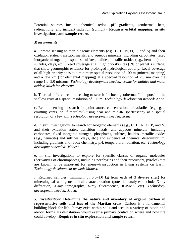Potential sources include chemical redox, pH gradients, geothermal heat, radioactivity, and incident radiation (sunlight). **Requires orbital mapping, in situ investigations, and sample return.**

## *Measurements*

a. Remote sensing to map biogenic elements (e.g., C, H, N, O, P, and S) and their oxidation states, transition metals, and aqueous minerals [including carbonates, fixed inorganic nitrogen, phosphates, sulfates, halides, metallic oxides (e.g., hematite) and sulfides, clays, etc.]. Need coverage at all high priority sites (5% of planet's surface) that show geomorphic evidence for prolonged hydrological activity. Local coverage of all high-priority sites at a minimum spatial resolution of 100 m (mineral mapping) and a few km (for elemental mapping) at a spectral resolution of 2.5 nm over the range 1.0–5.0 microns. *Technology development needed: Some for halides and metal oxides; Much for elements.*

b. Thermal infrared remote sensing to search for local geothermal "hot-spots" in the shallow crust at a spatial resolution of 100 m. *Technology development needed: None.*

c. Remote sensing to search for point-source concentrations of volatiles (e.g., gasemitting vents, or "fumeroles") using near and mid-IR spectroscopy at a spatial resolution of a few km. *Technology development needed: Some.*

d. In situ investigations to search for biogenic elements (e.g., C, H, N, O, P, and S) and their oxidation states, transition metals, and aqueous minerals [including carbonates, fixed inorganic nitrogen, phosphates, sulfates, halides, metallic oxides (e.g., hematite) and sulfides, clays, etc.] and evidence of chemical disequilibrium, including gradients and redox chemistry, pH, temperature, radiation, etc. *Technology development needed: Modest.*

e. In situ investigations to explore for specific classes of organic molecules (derivatives of chromophores, including porphyrins and their precursors, pyroles) that are known to be important for energy-transduction in living systems on Earth. *Technology development needed: Modest.*

f. Returned samples (minimum of 0.5–1.0 kg from each of 3 diverse sites) for mineralogical and geochemical characterization (potential analyses include X-ray diffraction, X-ray tomography, X-ray fluorescence, ICP-MS, etc). *Technology development needed: Much.*

*5. Investigation:* **Determine the nature and inventory of organic carbon in representative soils and ices of the Martian crust.** Carbon is a fundamental building block for life. It may exist within soils and ices in a variety of biotic and abiotic forms. Its distribution would exert a primary control on where and how life could develop. **Requires in situ exploration and sample return.**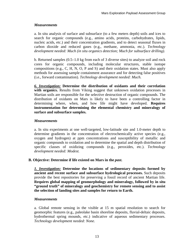a. In situ analysis of surface and subsurface (to a few meters depth) soils and ices to search for organic compounds (e.g., amino acids, proteins, carbohydrates, lipids, nucleic acids, etc.) and their concentration gradients, and to detect seasonal fluxes in carbon dioxide and reduced gases (e.g., methane, ammonia, etc.). *Technology development needed: Much (in situ organics detection; Much for subsurface drilling).*

b. Returned samples (0.5–1.0 kg from each of 3 diverse sites) to analyze soil and rock cores for organic compounds, including molecular structures, stable isotope compositions (e.g., C, H, N, O, P and S) and their oxidation states. Must also apply methods for assessing sample containment assurance and for detecting false positives (i.e., forward contamination). *Technology development needed: Much.* 

*6. Investigation:* **Determine the distribution of oxidants and their correlation**  with organics. Results from Viking suggest that unknown oxidation processes in Martian soils are responsible for the selective destruction of organic compounds. The distribution of oxidants on Mars is likely to have been a controlling factor in determining where, when, and how life might have developed. **Requires instrumentation for determining the elemental chemistry and mineralogy of surface and subsurface samples.**

## *Measurements*

a. In situ experiments at one well-targeted, low-latitude site and 1.0-meter depth to determine gradients in the concentration of electrochemically active species (e.g., oxygen and hydrogen) at ppm concentrations and susceptibility of metallic and organic compounds to oxidation and to determine the spatial and depth distribution of specific classes of oxidizing compounds (e.g., peroxides, etc.). *Technology development needed: Modest.*

## **B. Objective: Determine if life existed on Mars in the** *past***.**

*1. Investigation:* **Determine the locations of sedimentary deposits formed by ancient and recent surface and subsurface hydrological processes.** Such deposits provide the best repositories for preserving a fossil record of ancient Martian life. **Requires global mapping of geomorphology and mineralogy, followed by in situ "ground truth" of mineralogy and geochemistry for remote sensing and to assist the selection of landing sites and samples for return to Earth.**

## *Measurements*

a. Global remote sensing in the visible at 15 m spatial resolution to search for geomorphic features (e.g., paleolake basin shoreline deposits, fluvial-deltaic deposits, hydrothermal spring mounds, etc.) indicative of aqueous sedimentary processes. *Technology development needed: None.*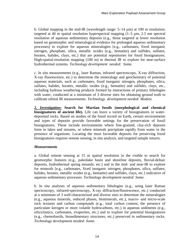b. Global mapping in the mid-IR (wavelength range:  $5-14 \mu m$ ) at 100 m resolution; targeted at 40 m spatial resolution hyperspectral mapping  $(1-5 \mu m, 2.5 \text{ nm spectral})$ resolution of aqueous sedimentary deposits (e.g., those targeted at lower resolution based on geomorphic and mineralogical evidence for prolonged aqueous sedimentary processes) to explore for aqueous mineralogies [e.g., carbonates, fixed inorganic nitrogen, phosphate, silica, metallic oxides (e.g., hematite) and sulfides, sulfates, borates, halides, clays, etc.] that are potential repositories for fossil biosignatures. High-spatial-resolution mapping (100 m) in thermal IR to explore for near-surface hydrothermal systems. *Technology development needed: Some.*

c. In situ measurements (e.g., laser Raman, infrared spectroscopy, X-ray diffraction, X-ray fluorescence, etc.) to determine the mineralogy and geochemistry of potential aqueous materials, such as carbonates, fixed inorganic nitrogen, phosphates, silica, sulfates, halides, borates, metallic oxides (e.g., hematite) and sulfides, clays, etc., including hydrous weathering products formed by interactions of primary lithologies with water, conducted at a minimum of 3 diverse sites for obtaining ground truth to calibrate orbital IR measurements. *Technology development needed: Modest.*

*2. Investigation:* **Search for Martian fossils (morphological and chemical biosignatures of ancient life).** Life can leave a variety of biosignatures in waterdeposited rocks. Based on studies of the fossil record on Earth, certain environments and types of deposits provide favorable settings for the preservation of fossil biosignatures. These include environments where fine-grained, clay-rich deposits form in lakes and streams, or where minerals precipitate rapidly from water in the presence of organisms. Locating the most favorable deposits for preserving fossil biosignatures requires remote sensing, in situ analysis, and targeted sample returns.

## *Measurements*

a. Global remote sensing at 15 m spatial resolution in the visible to search for geomorphic features (e.g., paleolake basin and shoreline deposits, fluvial-deltaic deposits, hydrothermal spring mounds, etc.) and in the mid- and near-IR to explore for minerals [e.g., carbonates, fixed inorganic nitrogen, phosphates, silica, sulfates, halides, borates, metallic oxides (e.g., hematite) and sulfides, clays, etc.] indicative of aqueous sedimentary processes. *Technology development needed: Some.*

b. In situ analyses of aqueous sedimentary lithologies (e.g., using laser Raman spectroscopy, infrared-spectroscopy, X-ray diffraction/fluorescence, etc.) conducted at a minimum of 3 well-characterized and diverse sites to determine the mineralogies (e.g., aqueous minerals, reduced phases, biominerals, etc.), macro- and micro-scale rock textures and carbon compounds (e.g., total carbon content, the presence of particulate kerogen or more volatile hydrocarbons, etc.) in aqueous sediments (e.g., siliciclastics, carbonates, evaporites, etc.) and to explore for potential biosignatures (e.g., chemofossils, biosedimentary structures, etc.) preserved in sedimentary rocks. *Technology development needed: Some.*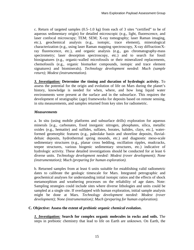c. Return of targeted samples (0.5–1.0 kg) from each of 3 sites "certified" to be of aqueous sedimentary origin) for detailed microscopic (e.g., light, fluorescence, and laser confocal microscopy; TEM; SEM; X-ray tomography; laser Raman imaging, etc.), geochemical analysis (e.g., isotopic, trace element), mineralogical characterization (e.g., using laser Raman mapping spectroscopy, X-ray diffraction/Xray fluorescence, etc.), and organic analysis (e.g., gas chromatography-mass spectrometry; laser desorption spectroscopy, etc.) and to search for fossil biosignatures (e.g., organic-walled microfossils or their mineralized replacements, chemofossils (e.g., organic biomarker compounds, isotopic and trace element signatures) and biominerals). *Technology development needed: Much (sample return); Modest (instrumentation).*

*3. Investigation:* **Determine the timing and duration of hydrologic activity.** To assess the potential for the origin and evolution of life on Mars during the planet's history, knowledge is needed for when, where, and how long liquid water environments were present at the surface and in the subsurface. This requires the development of stratigraphic (age) frameworks for deposits based on remote sensing, in situ measurements, and samples returned from key sites for radiometric.

## *Measurements*

a. In situ (using mobile platforms and subsurface drills) exploration for aqueous minerals [e.g., carbonates, fixed inorganic nitrogen, phosphates, silica, metallic oxides (e.g., hematite) and sulfides, sulfates, borates, halides, clays, etc.], waterformed geomorphic features (e.g., paleolake basin and shoreline deposits, fluvialdeltaic deposits, hydrothermal spring mounds, etc.) and diagnostic meso-scale sedimentary structures (e.g., planar cross bedding, oscillation ripples, mudcracks, teepee structures, various biogenic sedimentary structures, etc.) indicative of hydrologic activity. These detailed investigations should be conducted for at least 6 diverse units. *Technology development needed: Modest (rover development); None (instrumentation); Much (preparing for human exploration).*

b. Returned samples from at least 6 units suitable for establishing valid radiometric dates to calibrate the geologic timescale for Mars. Integrated petrographic and geochemical analyses for understanding initial isotopic ratios and the effects of shock metamorphism and weathering processes on the reliability of age dates. Note: Sampling strategies could include sites where diverse lithologies and units could be sampled at a single site. If overlapped with human exploration, initial sample analysis might be done at Mars. *Technology development needed: Modest (rover development); None (instrumentation); Much (preparing for human exploration).*

## **C. Objective: Assess the extent of** *prebiotic organic chemical evolution***.**

*1. Investigation:* **Search for complex organic molecules in rocks and soils.** The steps in prebiotic chemistry that lead to life on Earth are unknown. On Earth, the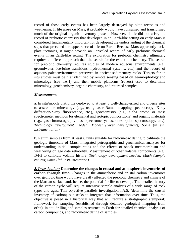record of those early events has been largely destroyed by plate tectonics and weathering. If life arose on Mars, it probably would have consumed and transformed much of the original organic inventory present. However, if life did not arise, the record of prebiotic chemistry that developed in an Earth-like setting on early Mars is considered fundamentally important for developing the understanding of the chemical steps that preceded the appearance of life on Earth. Because Mars apparently lacks plate tectonics, it might provide an unrivaled record of early prebiotic chemical events in an Earth-like setting. The exploration for prebiotic chemistry ultimately requires a different approach than the search for the extant biochemistry. The search for prebiotic chemistry requires studies of modern aqueous environments (e.g., groundwater, ice-brine transitions, hydrothermal systems, etc.) and the record of aqueous paleoenvironments preserved in ancient sedimentary rocks. Targets for in situ studies must be first identified by remote sensing based on geomorphology and mineralogy (see I.A.1) and then mobile platforms (rovers) used to determine mineralogy, geochemistry, organic chemistry, and returned samples.

## *Measurements*

a. In situ/mobile platforms deployed to at least 3 well-characterized and diverse sites to assess the mineralogy (e.g., using laser Raman mapping spectroscopy, X-ray diffraction/X-ray fluorescence, etc.), geochemistry (e.g., alpha proton or mass spectrometer methods for elemental and isotopic compositions) and organic materials (e.g., gas chromatography-mass spectrometry; laser desorption spectroscopy, etc.). *Technology development needed: Modest (rover development); Some (in situ instrumentation).*

b. Return samples from at least 6 units suitable for radiometric dating to calibrate the geologic timescale of Mars. Integrated petrographic and geochemical analyses for understanding initial isotopic ratios and the effects of shock metamorphism and weathering on age date reliability. Measurement of other volatile components (e.g., D/H) to calibrate volatile history. *Technology development needed: Much (sample return); Some (lab instrumentation).*

*2. Investigation:* **Determine the changes in crustal and atmospheric inventories of carbon through time.** Changes in the atmospheric and crustal carbon inventories over geologic time would have greatly affected the prebiotic chemistry and climate of the Martian surface and, hence, the potential for life to develop. The detailed history of the carbon cycle will require intensive sample analysis of a wide range of rock types and ages. This objective parallels investigation I.A.5. (determine the crustal inventory of carbon) but seeks to integrate that information over time. Thus, the objective is posed in a historical way that will require a stratigraphic (temporal) framework for sampling (established through detailed geological mapping from orbit), in situ drilling and samples returned to Earth for detailed chemical analysis of carbon compounds, and radiometric dating of samples.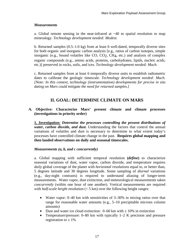a. Global remote sensing in the near-infrared at  $\sim$ 40 m spatial resolution to map mineralogy. *Technology development needed: Modest.*

b. Returned samples (0.5–1.0 kg) from at least 6 well-dated, temporally diverse sites for both organic and inorganic carbon analysis [e.g., ratios of carbon isotopes, simple inorganic (e.g., bound volatiles like CO, CO2, CH4, etc.) and analysis of complex organic compounds (e.g., amino acids, proteins, carbohydrates, lipids, nucleic acids, etc.)] preserved in rocks, soils, and ices. *Technology development needed: Much.* 

c. Returned samples from at least 6 temporally diverse units to establish radiometric dates to calibrate the geologic timescale. *Technology development needed: Much. [Note: In this context, technology (instrumentation) developments for precise in situ dating on Mars could mitigate the need for returned samples.]* 

# **II. GOAL: DETERMINE CLIMATE ON MARS**

## **A. Objective: Characterize Mars' present climate and climate processes (investigations in priority order)**

**1.** *Investigation: Determine the processes controlling the present distributions of water, carbon dioxide, and dust.* Understanding the factors that control the annual variations of volatiles and dust is necessary to determine to what extent today's processes have controlled climate change in the past. **Requires global mapping and then landed observations on daily and seasonal timescales.** 

## *Measurements (a, b, and c concurrently)*

a. Global mapping with sufficient temporal resolution **(***define***)** to characterize seasonal variations of dust, water vapor, carbon dioxide, and temperature requires *daily* global coverage of the planet with *horizontal resolutions* equal to, or better than, 5 degrees latitude and 30 degrees longitude. Some sampling of *diurnal* variations (e.g., day-night contrasts) is required to understand aliasing of longer-term measurements. Water vapor, dust extinction, and meteorological measurements taken *concurrently* (within one hour of one another). Vertical measurements are required with *half-scale height* resolution (< 5 km) over the following height ranges:

- Water vapor: 0–40 km with sensitivities of 3–30% in mixing ratios over that range for reasonable water amounts (e.g., 5–10 precipitable microns column amounts)
- Dust and water ice cloud extinction:  $0-60$  km with  $\pm 10\%$  in extinction
- Temperature/pressure: 0–80 km with typically 1–2 K precision and pressure registration to  $\pm$  1%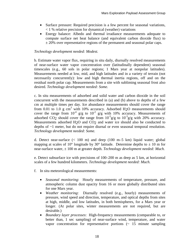- Surface pressure: Required precision is a few percent for seasonal variations, < 1 % relative precision for dynamical (weather) variations
- Energy balance: Albedo and thermal irradiance measurements adequate to compute surface net heat balance (and equivalent carbon dioxide flux) to  $\pm$  20% over representative regions of the permanent and seasonal polar caps.

## *Technology development needed: Modest.*

b. Estimate water vapor flux, requiring in situ daily, diurnally resolved measurements of near-surface water vapor concentration over (latitudinally dependent) seasonal timescales (e.g., 60 sols in polar regions; 1 Mars year at nonpolar latitudes). Measurements needed at low, mid, and high latitudes and in a variety of terrain (not necessarily concurrently): low and high thermal inertia regions, off and on the residual north polar cap. Measurements from a site with subliming seasonal frost also desired. *Technology development needed: Some.*

c. In situ measurements of adsorbed and solid water and carbon dioxide in the soil concurrent with the measurements described in (a) and (b) above to depths of a few cm at multiple times per day. Ice abundance measurements should cover the range from 0.01 to 1.0 g  $\text{cm}^3$  with 10% accuracy. Adsorbed H<sub>2</sub>O measurements should cover the range from  $10^{-4}$  g/g to  $10^{-2}$  g/g with 10% accuracy. Measurements of adsorbed CO<sub>2</sub> should cover the range from  $10^{-5}$ g/g to  $10^{-3}$ g/g with 20% accuracy. Measurements adsorbed H<sub>2</sub>O and CO<sub>2</sub> and water ice should also be conducted to depths of ~1 meter, but do not require diurnal or even seasonal temporal resolution. *Technology development needed: Some.*

d. Detect near-surface  $(< 100 \text{ m})$  and deep  $(100 \text{ m}-5 \text{ km})$  liquid water; global mapping at scales of 10° longitude by 30° latitude. Determine depths to  $\pm$  10 m for near-surface water, ± 100 m at greater depth. *Technology development needed: Much.*

e. Detect subsurface ice with precisions of 100–200 m as deep as 5 km, at horizontal scales of a few hundred kilometers. *Technology development needed: Much.*

- f. In situ meteorological measurements:
	- *Seasonal monitoring*: Hourly measurements of temperature, pressure, and atmospheric column dust opacity from 16 or more globally distributed sites for one Mars year.
	- *Weather monitoring*: Diurnally resolved (e.g., hourly) measurements of pressure, wind speed and direction, temperature, and optical depths from sites at high, middle, and low latitudes, in both hemispheres, for a Mars year or longer. (At polar sites, winter measurements are not required, but are desirable.)
	- *Boundary layer processes*: High-frequency measurements (comparable to, or better than, 1 sec sampling) of near-surface wind, temperature, and water vapor concentration for representative portions  $\left(\sim 15 \text{ minute sampling}\right)$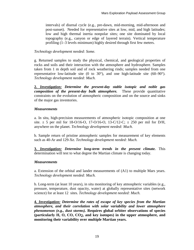intervals) of diurnal cycle (e.g., pre-dawn, mid-morning, mid-afternoon and post-sunset). Needed for representative sites at low, mid, and high latitudes; low and high thermal inertia nonpolar sites; one site dominated by local topography (e.g., canyon or edge of layered terrain). Vertical temperature profiling (1–3 levels minimum) highly desired through first few meters.

## *Technology development needed: Some.*

g. Returned samples to study the physical, chemical, and geological properties of rocks and soils and their interaction with the atmosphere and hydrosphere. Samples taken from 1 m depth soil and of rock weathering rinds; samples needed from one representative low-latitude site (0 to 30 $^{\circ}$ ), and one high-latitude site (60–90 $^{\circ}$ ). *Technology development needed: Much.*

**2.** *Investigation: Determine the present-day stable isotopic and noble gas composition of the present-day bulk atmosphere.* These provide quantitative constraints on the evolution of atmospheric composition and on the source and sinks of the major gas inventories.

## *Measurements*

a. In situ, high-precision measurements of atmospheric isotopic composition at one site.  $\pm$  5 per mil for 18-O/16-O, 17-O/16-O, 13-C/12-C;  $\pm$  250 per mil for D/H, anywhere on the planet. *Technology development needed: Much.*

b. Sample return of pristine atmospheric samples for measurement of key elements such as 40-Ar and 129-Xe. *Technology development needed: Much.* 

**3.** *Investigation: Determine long-term trends in the present climate.* This determination will test to what degree the Martian climate is changing today.

## *Measurements*

a. Extension of the orbital and lander measurements of (A1) to multiple Mars years. *Technology development needed: Much.*

b. Long-term (at least 10 years), in situ monitoring of key atmospheric variables (e.g., pressure, temperature, dust opacity, water) at globally representative sites (network science) for at least 12 sites. *Technology development needed: Much.*

**4.** *Investigation: Determine the rates of escape of key species from the Martian atmosphere, and their correlation with solar variability and lower atmosphere phenomenon (e.g., dust storms).* **Requires global orbiter observations of species (particularly H, O, CO, CO2, and key isotopes) in the upper atmosphere, and monitoring their variability over multiple Martian years.**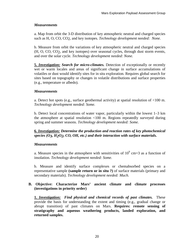a. Map from orbit the 3-D distribution of key atmospheric neutral and charged species such as H, O, CO, CO2, and key isotopes*. Technology development needed: None.*

b. Measure from orbit the variations of key atmospheric neutral and charged species (H, O, CO, CO2, and key isotopes) over seasonal cycles, through dust storm events, and over the solar cycle. *Technology development needed: None.*

**5.** *Investigation: Search for micro-climates.* Detection of exceptionally or recently wet or warm locales and areas of significant change in surface accumulations of volatiles or dust would identify sites for in situ exploration. Requires global search for sites based on topography or changes in volatile distributions and surface properties (e.g., temperature or albedo).

## *Measurements*

a. Detect hot spots (e.g., surface geothermal activity) at spatial resolution of <100 m. *Technology development needed: Some.*

b. Detect local concentrations of water vapor, particularly within the lowest 1–3 km the atmosphere at spatial resolution <100 m. Regions repeatedly surveyed during spring and summer seasons. *Technology development needed: Some.*

## **6***. Investigation: Determine the production and reaction rates of key photochemical species (O3, H2O2, CO, OH, etc.) and their interaction with surface materials.*

## *Measurements*

a. Measure species in the atmosphere with sensitivities of  $10^9$  cm=3 as a function of insolation. *Technology development needed: Some.*

b. Measure and identify surface complexes or chemabsorbed species on a representative sample **(sample return or in situ ?)** of surface materials (primary and secondary materials). *Technology development needed: Much.*

## **B. Objective: Characterize Mars' ancient climate and climate processes (investigations in priority order)**

**1.** *Investigation: Find physical and chemical records of past climates.* These provide the basis for understanding the extent and timing (e.g., gradual change or abrupt transition) of past climates on Mars. **Requires: remote sensing of stratigraphy and aqueous weathering products, landed exploration, and returned samples.**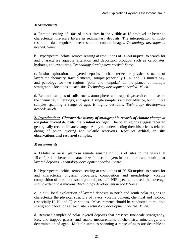a. Remote sensing of 100s of target sites in the visible at 15 cm/pixel or better to characterize fine-scale layers in sedimentary deposits. The interpretation of highresolution data requires lower-resolution context images. *Technology development needed: Some.*

b. Hyperspectral orbital remote sensing at resolutions of 20–50 m/pixel to search for and characterize aqueous alteration and deposition products such as carbonates, hydrates, and evaporites. *Technology development needed: Some.*

c. In situ exploration of layered deposits to characterize the physical structure of layers the chemistry, trace elements, isotopic (especially H, N, and O), mineralogy, and petrology for two regions (polar and nonpolar) on the planet, at multiple stratigraphic locations at each site. *Technology development needed: Much.*

d. Returned samples of soils, rocks, atmosphere, and trapped gasses/ices to measure the chemistry, mineralogy, and ages. A single sample is a major advance, but multiple samples spanning a range of ages is highly desirable. *Technology development needed: Much.*

**2.** *Investigation: Characterize history of stratigraphic records of climate change at the polar layered deposits, the residual ice caps.* The polar regions suggest repeated geologically recent climate change. A key to understanding their histories is relative dating of polar layering and volatile reservoirs. **Requires orbital, in situ observations and returned samples.** 

## *Measurements*

a. Orbital or aerial platform remote sensing of 100s of sites in the visible at 15 cm/pixel or better to characterize fine-scale layers in both north and south polar layered deposits. *Technology development needed: Some.*

b. Hyperspectral orbital remote sensing at resolutions of 20–50 m/pixel to search for and characterize physical properties, composition and morphology, volatile composition of north and south polar deposits. If NIR spectra are used, the coverage should extend to 4 microns. *Technology development needed: Some.*

c. In situ, local exploration of layered deposits in north and south polar regions to characterize the physical structure of layers, volatile content, chemical and isotopic (especially H, N, and O) variations. Measurements should be conducted at multiple stratigraphic locations at each site. *Technology development needed: Much.*

d. Returned samples of polar layered deposits that preserve fine-scale stratigraphy, ices, and trapped gasses, and enable measurements of chemistry, mineralogy, and determination of ages. Multiple samples spanning a range of ages are desirable to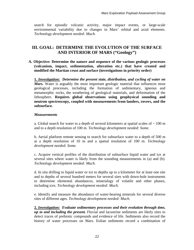search for episodic volcanic activity, major impact events, or large-scale environmental variability due to changes in Mars' orbital and axial elements. *Technology development needed: Much.* 

# **III. GOAL: DETERMINE THE EVOLUTION OF THE SURFACE AND INTERIOR OF MARS ("Geology")**

**A. Objective: Determine the nature and sequence of the various geologic processes (volcanism, impact, sedimentation, alteration etc.) that have created and modified the Martian crust and surface (investigations in priority order)** 

**1.** *Investigation: Determine the present state, distribution, and cycling of water on Mars.* Water is arguably the most important geologic material that influences most geological processes, including the formation of sedimentary, igneous and metamorphic rocks, the weathering of geological materials, and deformation of the lithosphere. **Requires global observations using geophysical sounding and neutron spectroscopy, coupled with measurements from landers, rovers, and the subsurface.** 

## *Measurements*

a. Global search for water to a depth of several kilometers at spatial scales of  $\sim 100$  m and to a depth resolution of 100 m. *Technology development needed: Some.*

b. Aerial platform remote sensing to search for subsurface water to a depth of 500 m at a depth resolution of 10 m and a spatial resolution of 100 m. *Technology development needed: Some.*

c. Acquire vertical profiles of the distribution of subsurface liquid water and ice at several sites where water is likely from the sounding measurements in (a) and (b). *Technology development needed: Much.* 

d. In situ drilling to liquid water or ice to depths up to a kilometer for at least one site and to depths of several hundred meters for several sites with down-hole instruments to determine elemental abundances, mineralogy of volatile and other phases, including ices. *Technology development needed: Much.*

e. Identify and measure the abundance of water-bearing minerals for several diverse sites of different ages. *Technology development needed: Much.*

**2.** *Investigation: Evaluate sedimentary processes and their evolution through time, up to and including the present.* Fluvial and lacustrine sediments are likely sites to detect traces of prebiotic compounds and evidence of life. Sediments also record the history of water processes on Mars. Eolian sediments record a combination of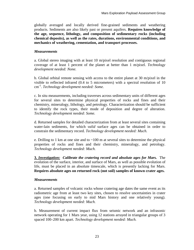globally averaged and locally derived fine-grained sediments and weathering products. Sediments are also likely past or present aquifers. **Requires knowledge of the age, sequence, lithology, and composition of sedimentary rocks (including chemical deposits), as well as the rates, durations, environmental conditions, and mechanics of weathering, cementation, and transport processes.** 

## *Measurements*

a. Global stereo imaging with at least 10 m/pixel resolution and contiguous regional coverage of at least 1 percent of the planet at better than 1 m/pixel. *Technology development needed: None.*

b. Global orbital remote sensing with access to the entire planet at 30 m/pixel in the visible to reflected infrared (0.4 to 5 micrometers) with a spectral resolution of 10 cm -1. *Technology development needed: Some.*

c. In situ measurements, including traverses across sedimentary units of different ages for several sites to determine physical properties of rocks and fines and their chemistry, mineralogy, lithology, and petrology. Characterization should be sufficient to identify the rock types, their mode of deposition and degree of alteration. *Technology development needed: Some.*

d. Returned samples for detailed characterization from at least several sites containing water-lain sediments, for which *valid* surface ages can be obtained in order to constrain the sedimentary record. *Technology development needed: Much.*

e. Drilling to 1 km at one site and to  $\sim$ 100 m at several sites to determine the physical properties of rocks and fines and their chemistry, mineralogy, and petrology. *Technology development needed: Much.*

**3.** *Investigation: Calibrate the cratering record and absolute ages for Mars.*The evolution of the surface, interior, and surface of Mars, as well as possible evolution of life, must be placed in an absolute timescale, which is presently lacking for Mars. **Requires absolute ages on returned rock (not soil) samples of known crater ages.** 

#### *Measurements*

a. Returned samples of volcanic rocks whose cratering age dates the same event as its radiometric age from at least two key sites, chosen to resolve uncertainties in crater ages (one focusing on early to mid Mars history and one relatively young). *Technology development needed: Much.*

b. Measurement of current impact flux from seismic network and an infrasonic network operating for 1 Mars year, using 12 stations arrayed in triangular groups of 3 spaced 100–200 km apart. *Technology development needed: Much.*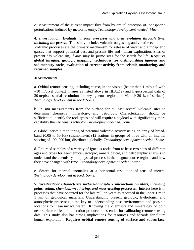c. Measurement of the current impact flux from by orbital detection of ionospheric perturbations induced by meteorite entry. *Technology development needed: Much.*

**4.** *Investigation: Evaluate igneous processes and their evolution through time, including the present.* This study includes volcanic outgassing and volatile evolution. Volcanic processes are the primary mechanism for release of water and atmospheric gasses that support potential past and present life and human exploration. Sites of present day volcanism, if any, may be prime sites for the search for life. **Requires global imaging, geologic mapping, techniques for distinguishing igneous and sedimentary rocks, evaluation of current activity from seismic monitoring, and returned samples.** 

#### *Measurements*

a. Orbital remote sensing, including stereo, in the visible (better than 1 m/pixel with  $\sim$ 10 m/pixel context images as listed above in III.A.2.a) and hyperspectral data of 30 m/pixel spatial resolution for key igneous regions of Mars (~20 % of surface). *Technology development needed: Some.*

b. In situ measurements from the surface for at least several volcanic sites to determine chemistry, mineralogy, and petrology. Characterization should be sufficient to identify the rock types and will require a payload with significantly more capability than Athena. *Technology development needed: Some.*

c. Global seismic monitoring of potential volcanic activity using an array of broadband (0.05 to 50 Hz) seismometers (12 stations in groups of three with an internal spacing of 100–200 km) distributed globally. *Technology development needed: Some.*

d. Returned samples of a variety of igneous rocks from at least two sites of different ages and types for geochemical, isotopic, mineralogical, and petrographic analysis to understand the chemistry and physical process in the magma source regions and how they have changed with time. *Technology development needed: Much.*

e. Search for thermal anomalies at a horizontal resolution of tens of meters. *Technology development needed: Some.*

**5.** *Investigation: Characterize surface-atmosphere interactions on Mars, including polar, eolian, chemical, weathering, and mass-wasting processes.*Interest here is in processes that have operated for the last million years as recorded in the upper 1 m to 1 km of geological materials. Understanding present geologic, hydrologic, and atmospheric processes is the key to understanding past environments and possible locations for near-surface water. Knowing the chemistry and mineralogy of both near-surface rocks and alteration products is essential for calibrating remote sensing data. This study also has strong implications for resources and hazards for future human exploration. **Requires orbital remote sensing of surface and subsurface,**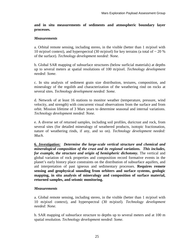**and in situ measurements of sediments and atmospheric boundary layer processes.** 

#### *Measurements*

a. Orbital remote sensing, including stereo, in the visible (better than 1 m/pixel with 10 m/pixel context), and hyperspectral (30 m/pixel) for key terrains (a total of  $\sim$  20 % of the surface). *Technology development needed: None.*

b. Global SAR mapping of subsurface structures (below surficial materials) at depths up to several meters at spatial resolutions of 100 m/pixel. *Technology development needed: Some.*

c. In situ analysis of sediment grain size distribution, textures, composition, and mineralogy of the regolith and characterization of the weathering rind on rocks at several sites. *Technology development needed: Some.*

d. Network of at least 16 stations to monitor weather (temperature, pressure, wind velocity, and strength) with concurrent visual observations from the surface and from orbit. Mission lifetime of 3 Mars years to determine seasonal and internal variations. *Technology development needed: None.*

e. A diverse set of returned samples, including soil profiles, duricrust and rock, from several sites (for detailed mineralogy of weathered products, isotopic fractionation, nature of weathering rinds, if any, and so on). *Technology development needed: Much.*

**6.** *Investigation: Determine the large-scale vertical structure and chemical and mineralogical composition of the crust and its regional variations. This includes, for example, the structure and origin of hemispheric dichotomy.* The vertical and global variation of rock properties and composition record formative events in the planet's early history place constraints on the distribution of subsurface aquifers, and aid interpretation of past igneous and sedimentary processes. **Requires remote sensing and geophysical sounding from orbiters and surface systems, geologic mapping, in situ analysis of mineralogy and composition of surface material, returned samples, and seismic monitoring.** 

#### *Measurements*

a. Global remote sensing, including stereo, in the visible (better than 1 m/pixel with 10 m/pixel context), and hyperspectral (30 m/pixel). *Technology development needed: None.*

b. SAR mapping of subsurface structure to depths up to several meters and at 100 m spatial resolution. *Technology development needed: Some.*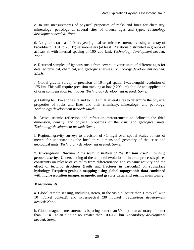c. In situ measurements of physical properties of rocks and fines for chemistry, mineralogy, petrology at several sites of diverse ages and types. *Technology development needed: None.*

d. Long-term (at least 1 Mars year) global seismic measurements using an array of broad-band (0.01 to 20 Hz) seismometers (at least 12 stations distributed in groups of at least 3, with internal spacing of 100–200 km). *Technology development needed: None.*

e. Returned samples of igneous rocks from several diverse units of different ages for detailed physical, chemical, and geologic analyses. *Technology development needed: Much.*

f. Global gravity survey to precision of 10 mgal spatial (wavelength) resolution of 175 km. This will require precision tracking at low (~200 km) altitude and application of drag compensation techniques. *Technology development needed: Some.*

g. Drilling to 1 km at one site and to  $\sim 100$  m at several sites to determine the physical properties of rocks and fines and their chemistry, mineralogy, and petrology. *Technology development needed: Much.*

h. Active seismic reflection and refraction measurements to delineate the third dimension, density, and physical properties of the crust and geological units. *Technology development needed: Some.*

i. Regional gravity surveys to precision of <1 mgal over spatial scales of tens of meters for understanding the local third dimensional geometry of the crust and geological units. *Technology development needed: Some.*

**7.** *Investigation: Document the tectonic history of the Martian crust, including present activity.* Understanding of the temporal evolution of internal processes places constraints on release of volatiles from differentiation and volcanic activity and the effect of tectonic structures (faults and fractures in particular) on subsurface hydrology. **Requires geologic mapping using global topographic data combined with high-resolution images, magnetic and gravity data, and seismic monitoring.** 

## *Measurements*

a. Global remote sensing, including stereo, in the visible (better than 1 m/pixel with 10 m/pixel context), and hyperspectral (30 m/pixel). *Technology development needed: None.*

b. Global magnetic measurements (spacing better than 50 km) to an accuracy of better than 0.5 nT at an altitude no greater than 100–120 km. *Technology development needed: Some.*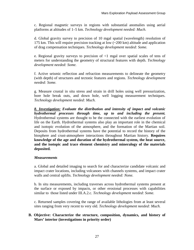c. Regional magnetic surveys in regions with substantial anomalies using aerial platforms at altitudes of 1–5 km. *Technology development needed: Much.*

d. Global gravity survey to precision of 10 mgal spatial (wavelength) resolution of 175 km. This will require precision tracking at low (~200 km) altitude and application of drag compensation techniques. *Technology development needed: Some.*

e. Regional gravity surveys to precision of <1 mgal over spatial scales of tens of meters for understanding the geometry of structural features with depth. *Technology development needed: Some.*

f. Active seismic reflection and refraction measurements to delineate the geometry (with depth) of structures and tectonic features and regions. *Technology development needed: Some.*

g. Measure crustal in situ stress and strain in drill holes using well pressurization, bore hole break outs, and down hole, well logging measurement techniques. *Technology development needed: Much.*

*8. Investigation: Evaluate the distribution and intensity of impact and volcanic hydrothermal processes through time, up to and including the present.*  Hydrothermal systems are thought to be the connected with the earliest evolution of life on the Earth. Hydrothermal systems also play an important role in the chemical and isotopic evolution of the atmosphere, and the formation of the Martian soil. Deposits from hydrothermal systems have the potential to record the history of the biosphere and crust-atmosphere interactions throughout Martian history. **Requires knowledge of the age and duration of the hydrothermal system, the heat source, and the isotopic and trace element chemistry and mineralogy of the materials deposited.** 

## *Measurements*

a. Global and detailed imaging to search for and characterize candidate volcanic and impact crater locations, including volcanoes with channels systems, and impact crater walls and central uplifts. *Technology development needed: None.*

b. In situ measurements, including traverses across hydrothermal systems present at the surface or exposed by impacts, or other erosional processes with capabilities similar to those listed under III.A.2.c. *Technology development needed: Some.*

c. Returned samples covering the range of available lithologies from at least several sites ranging from very recent to very old. *Technology development needed: Much.*

#### **B. Objective: Characterize the structure, composition, dynamics, and history of Mars' interior (investigations in priority order)**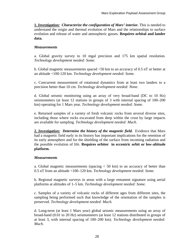**1.** *Investigation: Characterize the configuration of Mars' interior.* This is needed to understand the origin and thermal evolution of Mars and the relationships to surface evolution and release of water and atmospheric gasses. **Requires orbital and lander data.** 

## *Measurements*

a. Global gravity survey to 10 mgal precision and 175 km spatial resolution. *Technology development needed: Some.*

b. Global magnetic measurements spaced <50 km to an accuracy of 0.5 nT or better at an altitude <100-120 km. *Technology development needed: Some.*

c. Concurrent measurement of rotational dynamics from at least two landers to a precision better than 10 cm. *Technology development needed: None.*

d. Global seismic monitoring using an array of very broad-band (DC to 10 Hz) seismometers (at least 12 stations in groups of 3 with internal spacing of 100–200 km) operating for 1 Mars year. *Technology development needed: Some.*

e. Returned samples of a variety of fresh volcanic rocks from several diverse sites, including those where rocks excavated from deep within the crust by large impacts are available for sampling. *Technology development needed: Much.*

2. *Investigation:* Determine the history of the magnetic field. Evidence that Mars had a magnetic field early in its history has important implications for the retention of its early atmosphere and for the shielding of the surface from incoming radiation and the possible evolution of life. **Requires orbiter in eccentric orbit or low-altitude platform.**

#### *Measurements*

a. Global magnetic measurements (spacing  $<$  50 km) to an accuracy of better than 0.5 nT from an altitude <100–120 km. *Technology development needed: Some.*

b. Regional magnetic surveys in areas with a large remanent signature using aerial platforms at altitudes of 1–5 km. *Technology development needed: Some.*

c. Samples of a variety of volcanic rocks of different ages from different sites, the sampling being performed such that knowledge of the orientation of the samples is preserved. *Technology development needed: Much.*

d. Long-term (at least 1 Mars year) global seismic measurements using an array of broad-band (0.01 to 20 Hz) seismometers (at least 12 stations distributed in groups of at least 3, with internal spacing of 100–200 km). *Technology development needed: Much.*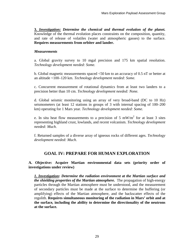**3.** *Investigation: Determine the chemical and thermal evolution of the planet.* Knowledge of the thermal evolution places constraints on the composition, quantity, and rate of release of volatiles (water and atmospheric gasses) to the surface. **Requires measurements from orbiter and lander.** 

## *Measurements*

a. Global gravity survey to 10 mgal precision and 175 km spatial resolution. *Technology development needed: Some.*

b. Global magnetic measurements spaced <50 km to an accuracy of 0.5 nT or better at an altitude <100–120 km. *Technology development needed: Some.*

c. Concurrent measurement of rotational dynamics from at least two landers to a precision better than 10 cm. *Technology development needed: None.*

d. Global seismic monitoring using an array of very broad-band (DC to 10 Hz) seismometers (at least 12 stations in groups of 3 with internal spacing of 100–200 km) operating for 1 Mars year. *Technology development needed: Some.*

e. In situ heat flow measurements to a precision of 5 mW/m<sup>2</sup> for at least 3 sites representing highland crust, lowlands, and recent volcanism. *Technology development needed: Much.*

f. Returned samples of a diverse array of igneous rocks of different ages. *Technology development needed: Much.*

## **GOAL IV: PREPARE FOR HUMAN EXPLORATION**

## **A. Objective: Acquire Martian environmental data sets (priority order of investigations under review)**

*1. Investigation: Determine the radiation environment at the Martian surface and the shielding properties of the Martian atmosphere.* The propagation of high-energy particles through the Martian atmosphere must be understood, and the measurement of secondary particles must be made at the surface to determine the buffering (or amplifying) effects of the Martian atmosphere, and the backscatter effects of the regolith. **Requires simultaneous monitoring of the radiation in Mars' orbit and at the surface***,* **including the ability to determine the directionality of the neutrons at the surface.**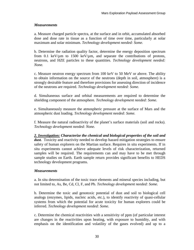a. Measure charged particle spectra, at the surface and in orbit, accumulated absorbed dose and dose rate in tissue as a function of time over time, particularly at solar maximum and solar minimum. *Technology development needed: Some.*

b. Determine the radiation quality factor, determine the energy deposition spectrum from 0.1 keV/ $\mu$ m to 1500 keV/ $\mu$ m, and separate the contributions of protons, neutrons, and HZE particles to these quantities. *Technology development needed: None.*

c. Measure neutron energy spectrum from 100 keV to 50 MeV or above. The ability to obtain information on the source of the neutrons (depth in soil, atmosphere) is a strongly desirable feature and therefore provisions for assessing direction of incidence of the neutrons are required. *Technology development needed: Some.*

d. Simultaneous surface and orbital measurements are required to determine the shielding component of the atmosphere. *Technology development needed: Some.*

e. Simultaneously measure the atmospheric pressure at the surface of Mars and the atmospheric dust loading. *Technology development needed: Some.* 

f. Measure the natural radioactivity of the planet's surface materials (soil and rocks). *Technology development needed: None.*

*2. Investigation: Characterize the chemical and biological properties of the soil and*  dust. Toxicity and reactivity needed to develop hazard mitigation strategies to ensure safety of human explorers on the Martian surface. Requires in situ experiments. If in situ experiments cannot achieve adequate levels of risk characterization, returned samples will be required. The requirements can and may have to be met through sample studies on Earth. Earth sample return provides significant benefits to HEDS technology development programs.

## *Measurements*

a. In situ determination of the toxic trace elements and mineral species including, but not limited to, As, Be, Cd, Cl, F, and Pb. *Technology development needed: Some.*

b. Determine the toxic and genotoxic potential of dust and soil to biological cell analogs (enzymes, lipids, nucleic acids, etc.), to identify reactivity of quasi-cellular systems from which the potential for acute toxicity for human explorers could be inferred. *Technology development needed: Some.*

c. Determine the chemical reactivities with a sensitivity of ppm (of particular interest are changes in the reactivities upon heating, with exposure to humidity, and with emphasis on the identification and volatility of the gases evolved) and up to a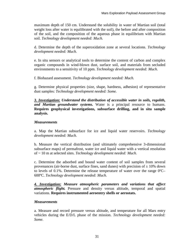maximum depth of 150 cm. Understand the solubility in water of Martian soil (total weight loss after water is equilibrated with the soil), the before and after composition of the soil, and the composition of the aqueous phase in equilibrium with Martian soil. *Technology development needed: Much.*

d. Determine the depth of the superoxidation zone at several locations. *Technology development needed: Much.*

e. In situ sensors or analytical tools to determine the content of carbon and complex organic compounds in wind-blown dust, surface soil, and materials from secluded environments to a sensitivity of 10 ppm. *Technology development needed: Much.* 

f. Biohazard assessment. *Technology development needed: Much.*

g. Determine physical properties (size, shape, hardness, adhesion) of representative dust samples: *Technology development needed: Some.* 

*3. Investigation: Understand the distribution of accessible water in soils, regolith, and Martian groundwater systems.* Water is a principal resource to humans. **Requires geophysical investigations, subsurface drilling, and in situ sample analysis.**

## *Measurements*

a. Map the Martian subsurface for ice and liquid water reservoirs. *Technology development needed: Much.*

b. Measure the vertical distribution (and ultimately comprehensive 3-dimensional subsurface maps) of permafrost, water ice and liquid water with a vertical resolution of ~ 10 m at selected sites. *Technology development needed: Much.*

c. Determine the adsorbed and bound water content of soil samples from several provenances (air-borne dust, surface fines, sand dunes) with precision of  $\pm$  10% down to levels of 0.1%. Determine the release temperature of water over the range  $0^{\circ}C-$ 600ºC. *Technology development needed: Much.*

*4. Investigation: Measure atmospheric parameters and variations that affect atmospheric flight.* Pressure and density versus altitude, temporal and spatial variations. **Requires instrumented aeroentry shells or aerostats.**

## *Measurements*

a. Measure and record pressure versus altitude, and temperature for all Mars entry vehicles during the E/D/L phase of the mission. *Technology development needed: Some.*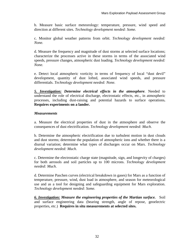b. Measure basic surface meteorology: temperature, pressure, wind speed and direction at different sites. *Technology development needed: Some.*

c. Monitor global weather patterns from orbit. *Technology development needed: None.*

d. Measure the frequency and magnitude of dust storms at selected surface locations; characterize the processes active in these storms in terms of the associated wind speeds, pressure changes, atmospheric dust loading. *Technology development needed: None.*

e. Detect local atmospheric vorticity in terms of frequency of local "dust devil" development, quantity of dust lofted, associated wind speeds, and pressure differentials. *Technology development needed: None.*

*5. Investigation: Determine electrical effects in the atmosphere.* Needed to understand the role of electrical discharge, electrostatic effects, etc., in atmospheric processes, including dust-raising and potential hazards to surface operations**. Requires experiments on a lander.**

## *Measurements*

a. Measure the electrical properties of dust in the atmosphere and observe the consequences of dust electrification. *Technology development needed: Much.*

b. Determine the atmospheric electrification due to turbulent motion in dust clouds and dust storms; determine the population of atmospheric ions and whether there is a diurnal variation; determine what types of discharges occur on Mars. *Technology development needed: Much.*

c. Determine the electrostatic charge state (magnitude, sign, and longevity of charges) for both aerosols and soil particles up to 100 microns. *Technology development needed: Much.*

d. Determine Paschen curves (electrical breakdown in gases) for Mars as a function of temperature, pressure, wind, dust load in atmosphere, and season for meteorological use and as a tool for designing and safeguarding equipment for Mars exploration. *Technology development needed: Some.*

*6. Investigation: Measure the engineering properties of the Martian surface.*Soil and surface engineering data (bearing strength, angle of repose, geoelectric properties, etc.) **Requires in situ measurements at selected sites.**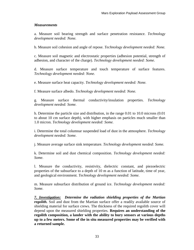a. Measure soil bearing strength and surface penetration resistance. *Technology development needed: None.*

b. Measure soil cohesion and angle of repose. *Technology development needed: None.*

c. Measure soil magnetic and electrostatic properties (adhesion potential, strength of adhesion, and character of the charge). *Technology development needed: Some.*

d. Measure surface temperature and touch temperature of surface features. *Technology development needed: None.*

e. Measure surface heat capacity. *Technology development needed: None.*

f. Measure surface albedo. *Technology development needed: None.*

g. Measure surface thermal conductivity/insulation properties. *Technology development needed: Some.*

h. Determine the particle size and distribution, in the range 0.01 to 10.0 microns (0.01 to about 10 cm surface depth), with higher emphasis on particles much smaller than 1.0 micron. *Technology development needed: Some.*

i. Determine the total columnar suspended load of dust in the atmosphere. *Technology development needed: Some.* 

j. Measure average surface sink temperature. *Technology development needed: Some.*

k. Determine soil and dust chemical composition. *Technology development needed: Some.*

l. Measure the conductivity, resistivity, dielectric constant, and piezoelectric properties of the subsurface to a depth of 10 m as a function of latitude, time of year, and geological environment. *Technology development needed: Some.*

m. Measure subsurface distribution of ground ice. *Technology development needed: Some.*

*7. Investigation: Determine the radiation shielding properties of the Martian regolith.* Soil and dust from the Martian surface offer a readily available source of shielding material for surface crews. The thickness of the required regolith cover will depend upon the measured shielding properties. **Requires an understanding of the regolith composition, a lander with the ability to bury sensors at various depths up to a few meters. Some of the in situ measured properties may be verified with a returned sample.**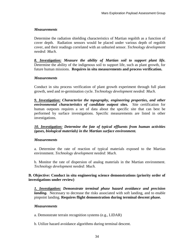Determine the radiation shielding characteristics of Martian regolith as a function of cover depth. Radiation sensors would be placed under various depth of regolith cover, and their readings correlated with an unburied sensor. *Technology development needed: Much.* 

*8. Investigation: Measure the ability of Martian soil to support plant life.* Determine the ability of the indigenous soil to support life, such as plant growth, for future human missions. **Requires in situ measurements and process verification.** 

## *Measurements*

Conduct in situ process verification of plant growth experiment through full plant growth, seed and re-germination cycle. *Technology development needed: Much.*

*9. Investigation: Characterize the topography, engineering properties, and other environmental characteristics of candidate outpost sites.*Site certification for human outposts requires a set of data about the specific site that can best be performed by surface investigations. Specific measurements are listed in other investigations.

*10. Investigation: Determine the fate of typical effluents from human activities (gases, biological materials) in the Martian surface environment.*

## *Measurements*

a. Determine the rate of reaction of typical materials exposed to the Martian environment. *Technology development needed: Much.*

b. Monitor the rate of dispersion of analog materials in the Martian environment. *Technology development needed: Much.*

## **B. Objective: Conduct in situ engineering science demonstrations (priority order of investigations under review)**

*1. Investigation: Demonstrate terminal phase hazard avoidance and precision landing.* Necessary to decrease the risks associated with soft landing, and to enable pinpoint landing. **Requires flight demonstration during terminal descent phase.** 

## *Measurements*

a. Demonstrate terrain recognition systems (e.g., LIDAR)

b. Utilize hazard avoidance algorithms during terminal descent.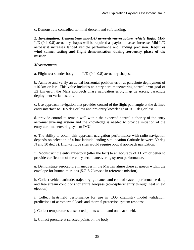c. Demonstrate controlled terminal descent and soft landing.

*2. Investigation: Demonstrate mid-L/D aeroentry/aerocapture vehicle flight.* Mid-L/D (0.4–0.8) aeroentry shapes will be required as payload masses increase. Mid-L/D aeroassist increases landed vehicle performance and landing precision. **Requires wind tunnel testing and flight demonstration during aeroentry phase of the mission.**

#### *Measurements*

a. Flight test slender body, mid L/D (0.4–0.8) aeroentry shapes.

b. Achieve and verify an actual horizontal position error at parachute deployment of  $\pm 10$  km or less. This value includes an entry aero-maneuvering control error goal of  $\pm 2$  km error, the Mars approach phase navigation error, map tie errors, parachute deployment variables, etc.

c. Use approach navigation that provides control of the flight path angle at the defined entry interface to  $\pm 0.5$  deg or less and pre-entry knowledge of  $\pm 0.1$  deg or less.

d. provide control to remain well within the expected control authority of the entry aero-maneuvering system and the knowledge is needed to provide initiation of the entry aero-maneuvering system IMU.

e. The ability to obtain this approach navigation performance with radio navigation depends on selection of a low-latitude landing site location (latitude between 30 deg N and 30 deg S). High-latitude sites would require optical approach navigation.

f. Reconstruct the entry trajectory (after the fact) to an accuracy of  $\pm 1$  km or better to provide verification of the entry aero-maneuvering system performance.

g. Demonstrate aerocapture maneuver in the Martian atmosphere at speeds within the envelope for human missions (5.7–8.7 km/sec in reference mission).

h. Collect vehicle attitude, trajectory, guidance and control system performance data, and free stream conditions for entire aeropass (atmospheric entry through heat shield ejection).

i. Collect heatshield performance for use in CO2 chemistry model validation, predictions of aerothermal loads and thermal protection system response.

j. Collect temperatures at selected points within and on heat shield.

k. Collect pressure at selected points on the body.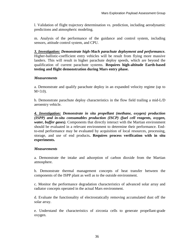l. Validation of flight trajectory determination vs. prediction, including aerodynamic predictions and atmospheric modeling.

m. Analysis of the performance of the guidance and control system, including sensors, attitude control system, and CPU.

*3. Investigation: Demonstrate high-Mach parachute deployment and performance.* Higher-ballistic-coefficient entry vehicles will be result from flying more massive landers. This will result in higher parachute deploy speeds, which are beyond the qualification of current parachute systems. **Requires high-altitude Earth-based testing and flight demonstration during Mars entry phase.**

#### *Measurements*

a. Demonstrate and qualify parachute deploy in an expanded velocity regime (up to  $M = 3.0$ ).

b. Demonstrate parachute deploy characteristics in the flow field trailing a mid-L/D aeroentry vehicle.

*4. Investigation: Demonstrate in situ propellant (methane, oxygen) production (ISPP) and in-situ consumables production (ISCP) (fuel cell reagents, oxygen, water, buffer gases).* Components that directly interact with the Martian environment should be evaluated in a relevant environment to determine their performance. Endto-end performance may be evaluated by acquisition of local resources, processing, storage, and use of end products**. Requires process verification with in situ experiments.** 

## *Measurements*

a. Demonstrate the intake and adsorption of carbon dioxide from the Martian atmosphere.

b. Demonstrate thermal management concepts of heat transfer between the components of the ISPP plant as well as to the outside environment.

c. Monitor the performance degradation characteristics of advanced solar array and radiator concepts operated in the actual Mars environment.

d. Evaluate the functionality of electrostatically removing accumulated dust off the solar array.

e. Understand the characteristics of zirconia cells to generate propellant-grade oxygen.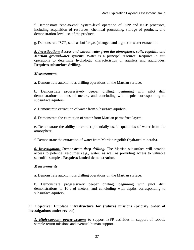f. Demonstrate "end-to-end" system-level operation of ISPP and ISCP processes, including acquisition of resources, chemical processing, storage of products, and demonstration-level use of the products.

g. Demonstrate ISCP, such as buffer gas (nitrogen and argon) or water extraction.

*5. Investigation: Access and extract water from the atmosphere, soils, regolith, and Martian groundwater systems.* Water is a principal resource. Requires in situ operations to determine hydrologic characteristics of aquifers and aquicludes. **Requires subsurface drilling.**

## *Measurements*

a. Demonstrate autonomous drilling operations on the Martian surface.

b. Demonstrate progressively deeper drilling, beginning with pilot drill demonstrations to tens of meters, and concluding with depths corresponding to subsurface aquifers.

c. Demonstrate extraction of water from subsurface aquifers.

d. Demonstrate the extraction of water from Martian permafrost layers.

e. Demonstrate the ability to extract potentially useful quantities of water from the atmosphere.

f. Demonstrate the extraction of water from Martian regolith (hydrated minerals).

*6. Investigation: Demonstrate deep drilling.* The Martian subsurface will provide access to potential resources (e.g., water) as well as providing access to valuable scientific samples. **Requires landed demonstration.**

## *Measurements*

a. Demonstrate autonomous drilling operations on the Martian surface.

b. Demonstrate progressively deeper drilling, beginning with pilot drill demonstrations to 10's of meters, and concluding with depths corresponding to subsurface aquifers.

## **C. Objective: Emplace infrastructure for (future) missions (priority order of investigations under review)**

*1. High-capacity power systems* to support ISPP activities in support of robotic sample return missions and eventual human support.